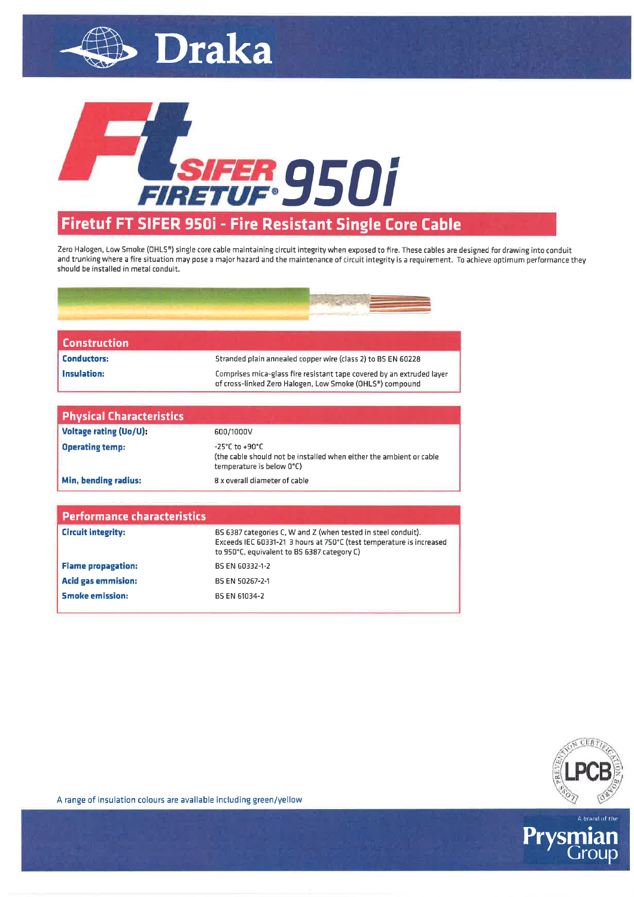

Draka

## Firetuf FT SIFER 950i - Fire Resistant Single Core Cable

Zero Halogen, Low Smoke (OHLS®) single core cable maintaining circuit integrity when exposed to fire. These cables are designed for drawing into conduit and trunking where a fire situation may pose a major hazard and the maintenance of circuit integrity is a requirement. To achieve optimum performance they should be installed in metal conduit.



| Construction       |                                                                                                                                   |
|--------------------|-----------------------------------------------------------------------------------------------------------------------------------|
| <b>Conductors:</b> | Stranded plain annealed copper wire (class 2) to BS EN 60228                                                                      |
| Insulation:        | Comprises mica-glass fire resistant tape covered by an extruded layer<br>of cross-linked Zero Halogen, Low Smoke (OHLS®) compound |

| <b>Physical Characteristics</b> |                                                                                                                                        |
|---------------------------------|----------------------------------------------------------------------------------------------------------------------------------------|
| Voltage rating (Uo/U):          | 600/1000V                                                                                                                              |
| <b>Operating temp:</b>          | $-25^{\circ}$ C to $+90^{\circ}$ C<br>(the cable should not be installed when either the ambient or cable<br>temperature is below 0°C) |
| Min, bending radius:            | 8 x overall diameter of cable                                                                                                          |

| <b>Performance characteristics</b> |                                                                                                                                                                                      |
|------------------------------------|--------------------------------------------------------------------------------------------------------------------------------------------------------------------------------------|
| <b>Circuit integrity:</b>          | BS 6387 categories C, W and Z (when tested in steel conduit).<br>Exceeds IEC 60331-21 3 hours at 750°C (test temperature is increased<br>to 950°C, equivalent to BS 6387 category C) |
| <b>Flame propagation:</b>          | BS EN 60332-1-2                                                                                                                                                                      |
| <b>Acid gas emmision:</b>          | BS EN 50267-2-1                                                                                                                                                                      |
| <b>Smoke emission:</b>             | BS EN 61034-2                                                                                                                                                                        |



A range of insulation colours are available including green/yellow

Prys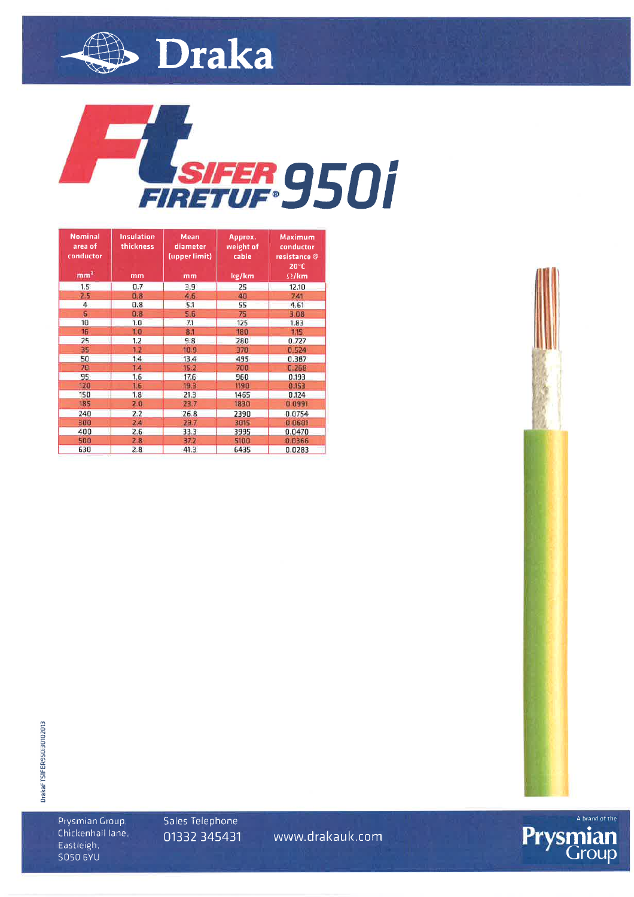



| <b>Nominal</b><br>area of<br>conductor<br>mm <sup>2</sup> | <b>Insulation</b><br>thickness<br>mm | <b>Mean</b><br>diameter<br>(upper limit)<br>mm | Approx.<br>weight of<br>cable<br>kg/km | <b>Maximum</b><br>conductor<br>resistance @<br>$20^{\circ}$ C<br>$\Omega$ /km |
|-----------------------------------------------------------|--------------------------------------|------------------------------------------------|----------------------------------------|-------------------------------------------------------------------------------|
| 1.5                                                       | 0.7                                  | 3.9                                            | 25                                     | 12.10                                                                         |
| 2.5                                                       | 0.8                                  | 4.6                                            | 40                                     | 7.41                                                                          |
| 4                                                         | 0.8                                  | 5.1                                            | 55                                     | 4.61                                                                          |
| 6                                                         | 0.8                                  | 5.6                                            | 75                                     | 3.08                                                                          |
| 10                                                        | 1.0                                  | 7.1                                            | 125                                    | 1.83                                                                          |
| 16                                                        | 1.0                                  | 8.1                                            | 180                                    | 1.15                                                                          |
| 25                                                        | 1.2                                  | 9.8                                            | 280                                    | 0.727                                                                         |
| 35                                                        | 1.2                                  | 10.9                                           | 370                                    | 0.524                                                                         |
| 50                                                        | 1.4                                  | 13.4                                           | 495                                    | 0.387                                                                         |
| 70                                                        | 14                                   | 15.2                                           | 700                                    | 0.268                                                                         |
| 95                                                        | 1.6                                  | 17.6                                           | 960                                    | 0.193                                                                         |
| 120                                                       | 1.6                                  | 19.3                                           | 1190                                   | 0.153                                                                         |
| 150                                                       | 1.8                                  | 21.3                                           | 1465                                   | 0.124                                                                         |
| 185                                                       | 2.0                                  | 23.7                                           | 1830                                   | 0.0991                                                                        |
| 240                                                       | 2.2                                  | 26.8                                           | 2390                                   | 0.0754                                                                        |
| 300                                                       | 2.4                                  | 29.7                                           | 3615                                   | 0.0601                                                                        |
| 400                                                       | 2.6                                  | 33.3                                           | 3995                                   | 0.0470                                                                        |
| 500                                                       | 2.8                                  | 37.2                                           | 5100                                   | 0.0366                                                                        |
| 630                                                       | 2.8                                  | 41.3                                           | 6435                                   | 0.0283                                                                        |



Prysmian Group, Chickenhall lane, Eastleigh. **SO50 6YU** 

Sales Telephone 01332 345431

www.drakauk.com



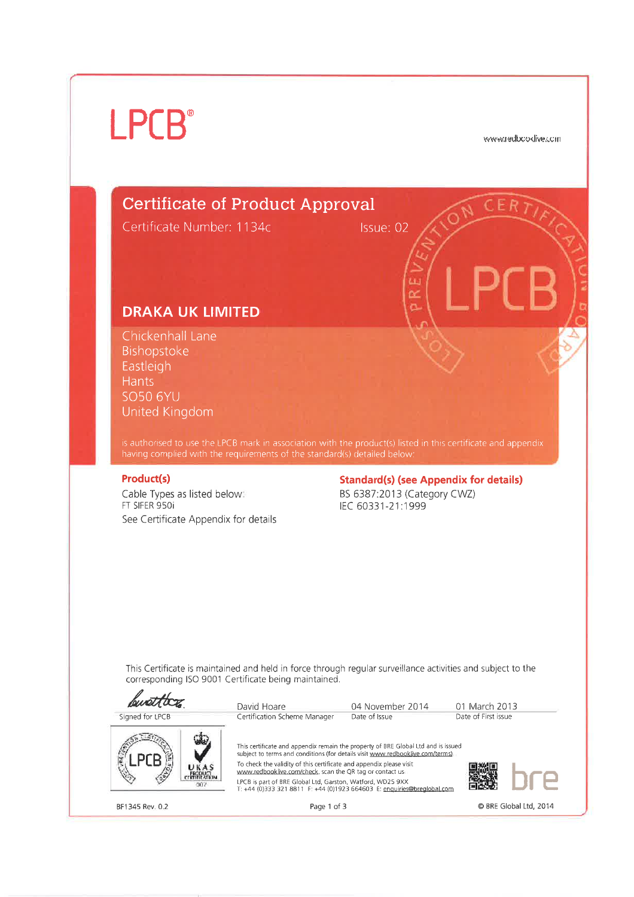## **LPCB**<sup>®</sup>

www.redbooklive.com

## **Certificate of Product Approval**

Certificate Number: 1134c

Issue: 02

òŹ

## **DRAKA UK LIMITED**

Chickenhall Lane Bishopstoke Eastleigh **Hants SO50 6YU** United Kingdom

is authorised to use the LPCB mark in association with the product(s) listed in this certificate and appendix<br>having complied with the requirements of the standard(s) detailed below:

#### **Product(s)**

1

Cable Types as listed below: FT SIFER 950i See Certificate Appendix for details **Standard(s) (see Appendix for details)** BS 6387:2013 (Category CWZ) IEC 60331-21:1999

This Certificate is maintained and held in force through regular surveillance activities and subject to the corresponding ISO 9001 Certificate being maintained.

|                        | David Hoare                                                                                                                                                                                                                                                                                                                                                                                                                                    | 04 November 2014 | 01 March 2013          |
|------------------------|------------------------------------------------------------------------------------------------------------------------------------------------------------------------------------------------------------------------------------------------------------------------------------------------------------------------------------------------------------------------------------------------------------------------------------------------|------------------|------------------------|
| Signed for LPCB        | Certification Scheme Manager                                                                                                                                                                                                                                                                                                                                                                                                                   | Date of Issue    | Date of First issue    |
| UKAS<br><b>PRODUCT</b> | This certificate and appendix remain the property of BRE Global Ltd and is issued<br>subject to terms and conditions (for details visit www.redbooklive.com/terms)<br>To check the validity of this certificate and appendix please visit<br>www.redbooklive.com/check, scan the QR tag or contact us<br>LPCB is part of BRE Global Ltd, Garston, Watford, WD25 9XX<br>T: +44 (0)333 321 8811 F: +44 (0)1923 664603 E: enquiries@brealobal.com |                  |                        |
| BF1345 Rev. 0.2        | Page 1 of 3                                                                                                                                                                                                                                                                                                                                                                                                                                    |                  | © BRE Global Ltd, 2014 |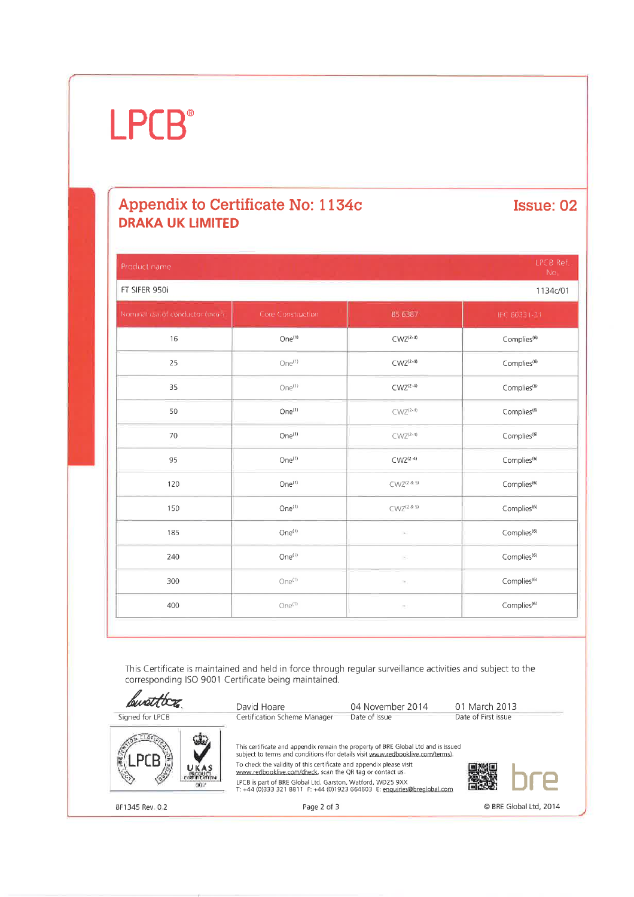## **LPCB**<sup>®</sup>

## Appendix to Certificate No: 1134c **DRAKA UK LIMITED**

**Issue: 02** 

| Product name                    |                    |                    | <b>LPCB Ref</b><br>No.  |  |
|---------------------------------|--------------------|--------------------|-------------------------|--|
| FT SIFER 950i<br>1134c/01       |                    |                    |                         |  |
| Nominal csa of conductor (mm.). | Core Construction  | B5 6387            | IEC 60331-21            |  |
| 16                              | One <sup>(1)</sup> | $C WZ^{(2-4)}$     | Complies <sup>(6)</sup> |  |
| 25                              | One <sup>(1)</sup> | $C WZ^{(2-4)}$     | Complies <sup>(6)</sup> |  |
| 35                              | One <sup>(1)</sup> | $C WZ^{(2-4)}$     | $Complies^{(6)}$        |  |
| 50                              | One <sup>(1)</sup> | $C WZ(2-4)$        | Complies <sup>(6)</sup> |  |
| 70                              | $One^{(1)}$        | $C WZ^{(2-4)}$     | Complies <sup>(6)</sup> |  |
| 95                              | One <sup>(1)</sup> | $C WZ^{(2-4)}$     | Complies <sup>(6)</sup> |  |
| 120                             | One <sup>(1)</sup> | $C WZ^{(2\,8\,5)}$ | Complies <sup>(6)</sup> |  |
| 150                             | One <sup>(1)</sup> | $C WZ^{(2.8.5)}$   | Complies <sup>(6)</sup> |  |
| 185                             | One <sup>(1)</sup> | $\sim$             | Complies <sup>(6)</sup> |  |
| 240                             | One <sup>(1)</sup> | E                  | Complies <sup>(6)</sup> |  |
| 300                             | One <sup>(1)</sup> | e,                 | Complies <sup>(6)</sup> |  |
| 400                             | One <sup>(1)</sup> | P)                 | Complies <sup>(6)</sup> |  |
|                                 |                    |                    |                         |  |

This Certificate is maintained and held in force through regular surveillance activities and subject to the corresponding ISO 9001 Certificate being maintained.

busttor David Hoare 04 November 2014 01 March 2013 Signed for LPCB Certification Scheme Manager Date of Issue Date of First issue This certificate and appendix remain the property of BRE Global Ltd and is issued subject to terms and conditions (for details visit www.redbooklive.com/terms). To check the validity of this certificate and appendix please visit<br>www.redbooklive.com/check, scan the QR tag or contact us LPCB is part of BRE Global Ltd, Garston, Watford, WD25 9XX<br>T: +44 (0)333 321 8811 F: +44 (0)1923 664603 E: enquiries@breglobal.com BF1345 Rev. 0.2 Page 2 of 3 © BRE Global Ltd, 2014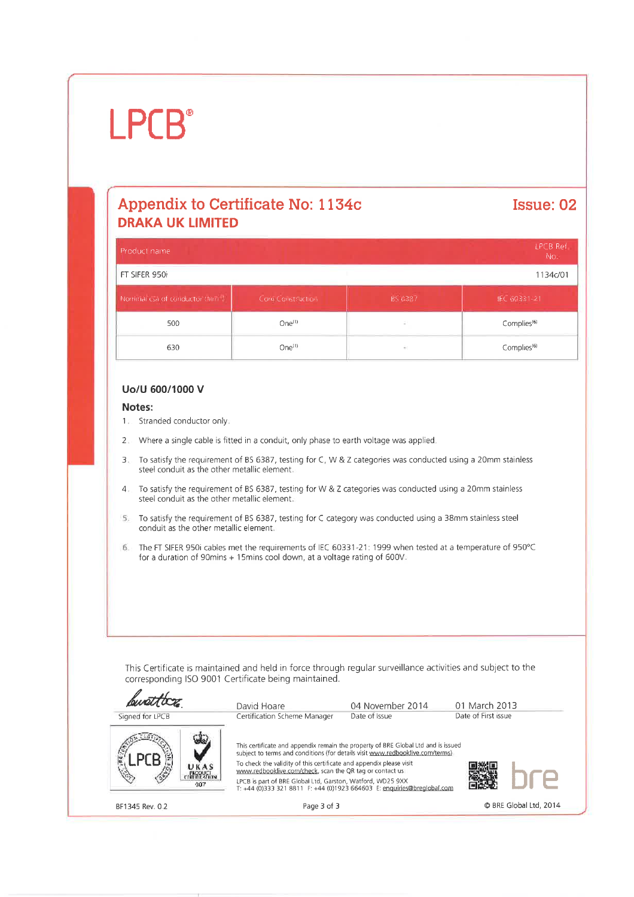## $I$  PCB<sup>®</sup>

## Appendix to Certificate No: 1134c **DRAKA UK LIMITED**

## Issue: 02

| <b>LPCB Ref</b><br>Product name |                    |         |                         |
|---------------------------------|--------------------|---------|-------------------------|
| FT SIFER 950i<br>1134c/01       |                    |         |                         |
| Nominal csa of conductor Chin + | Core Const: Iction | BS 6387 | IEC 60331-21            |
| 500                             | One <sup>(1)</sup> | ÷       | Complies <sup>(6)</sup> |
| 630                             | $One^{(1)}$        | ÷       | Complies <sup>(6)</sup> |

#### Uo/U 600/1000 V

#### Notes:

- 1. Stranded conductor only.
- Where a single cable is fitted in a conduit, only phase to earth voltage was applied.  $2 -$
- To satisfy the requirement of BS 6387, testing for C, W & Z categories was conducted using a 20mm stainless  $\overline{3}$ . steel conduit as the other metallic element.
- To satisfy the requirement of BS 6387, testing for W & Z categories was conducted using a 20mm stainless  $\mathcal{A}_{-}$ steel conduit as the other metallic element.
- 5. To satisfy the requirement of BS 6387, testing for C category was conducted using a 38mm stainless steel conduit as the other metallic element.
- The FT SIFER 950i cables met the requirements of IEC 60331-21: 1999 when tested at a temperature of 950°C 6. for a duration of 90mins + 15mins cool down, at a voltage rating of 600V.

This Certificate is maintained and held in force through regular surveillance activities and subject to the corresponding ISO 9001 Certificate being maintained.



BF1345 Rev. 0.2

Page 3 of 3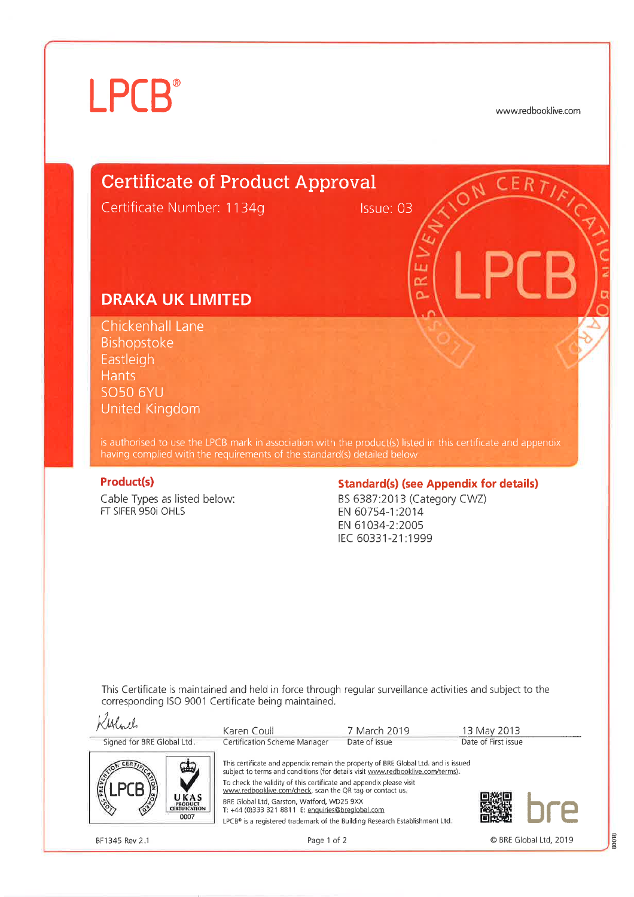# **LPCB**®

www.redbooklive.com

## **Certificate of Product Approval**

Certificate Number: 1134g

Issue: 03

Ш  $\alpha$ Ä

## **DRAKA UK LIMITED**

Chickenhall Lane Bishopstoke Eastleigh **Hants SO50 6YU** United Kingdom

is authorised to use the LPCB mark in association with the product(s) listed in this certificate and appendix having complied with the requirements of the standard(s) detailed below:

#### **Product(s)**

Cable Types as listed below: FT SIFER 950i OHLS

#### **Standard(s) (see Appendix for details)**

BS 6387:2013 (Category CWZ) EN 60754-1:2014 EN 61034-2:2005 IEC 60331-21:1999

This Certificate is maintained and held in force through regular surveillance activities and subject to the corresponding ISO 9001 Certificate being maintained.

| Albel                                                                  | Karen Coull                                                                                                                                                                                                                                                                                                                                                                                                                                                                                | 7 March 2019  | 13 May 2013         |  |
|------------------------------------------------------------------------|--------------------------------------------------------------------------------------------------------------------------------------------------------------------------------------------------------------------------------------------------------------------------------------------------------------------------------------------------------------------------------------------------------------------------------------------------------------------------------------------|---------------|---------------------|--|
| Signed for BRE Global Ltd.                                             | Certification Scheme Manager                                                                                                                                                                                                                                                                                                                                                                                                                                                               | Date of Issue | Date of First issue |  |
| <b>DREVE</b><br>UKAS<br><b>PRODUCT</b><br><b>CERTIFICATION</b><br>0007 | This certificate and appendix remain the property of BRE Global Ltd. and is issued<br>subject to terms and conditions (for details visit www.redbooklive.com/terms).<br>To check the validity of this certificate and appendix please visit<br>www.redbooklive.com/check, scan the QR tag or contact us.<br>BRE Global Ltd, Garston, Watford, WD25 9XX<br>T: +44 (0)333 321 8811 E: enquiries@brealobal.com<br>LPCB® is a registered trademark of the Building Research Establishment Ltd. |               |                     |  |

BF1345 Rev 2.1

Page 1 of 2

80018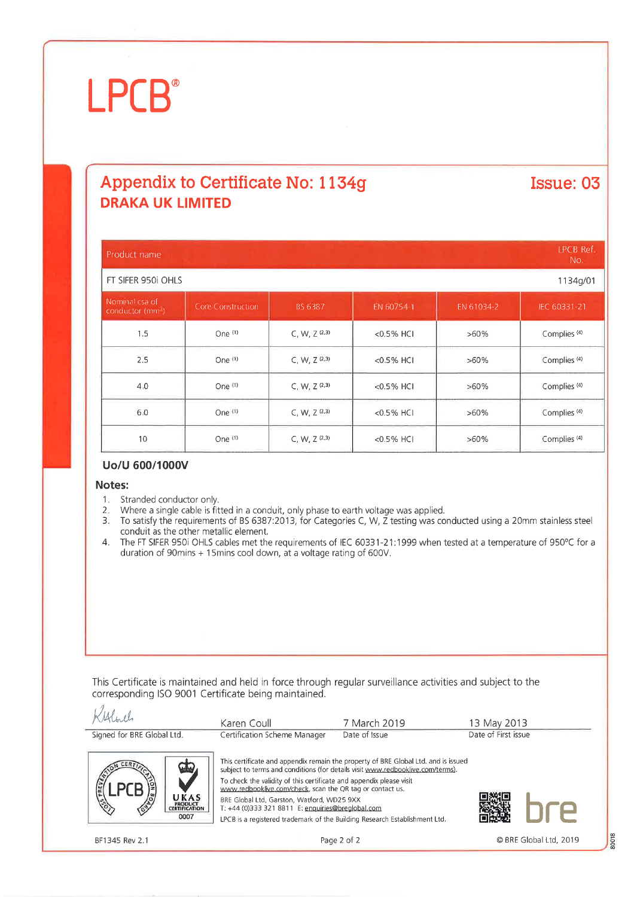# **LPCB®**

## Appendix to Certificate No: 1134g **DRAKA UK LIMITED**

#### **IPCB Ref** Product name No. FT SIFFR 950i OHIS 1134g/01 EN 61034-2 Core Construction  $1.5$ One  $(1)$  $C, W, Z<sup>(2,3)</sup>$ <0.5% HCI  $>60%$ Complies<sup>(4)</sup>  $C, W, Z^{(2,3)}$ Complies<sup>(4)</sup>  $2.5$ One $(1)$ <0.5% HCI  $>60%$  $4.0$ One (1)  $C, W, Z<sup>(2,3)</sup>$  $<0.5%$  HCI Complies<sup>(4)</sup>  $>60%$ 6.0 One (1)  $C, W, Z^{(2,3)}$ <0.5% HCI  $>60\%$ Complies<sup>(4)</sup> One (1)  $>60\%$ Complies<sup>(4)</sup> 10 C, W,  $Z^{(2,3)}$ <0.5% HCI

#### Uo/U 600/1000V

#### Notes:

- 1. Stranded conductor only.
- Where a single cable is fitted in a conduit, only phase to earth voltage was applied. 2.
- 3. To satisfy the requirements of BS 6387:2013, for Categories C, W, Z testing was conducted using a 20mm stainless steel conduit as the other metallic element.
- 4. The FT SIFER 950i OHLS cables met the requirements of IEC 60331-21:1999 when tested at a temperature of 950°C for a duration of 90mins + 15mins cool down, at a voltage rating of 600V.

This Certificate is maintained and held in force through regular surveillance activities and subject to the corresponding ISO 9001 Certificate being maintained.

| Albert                                                           | Karen Coull                                                                                                                                                                                                                                                                                                                                                                                                 | 7 March 2019  | 13 May 2013         |
|------------------------------------------------------------------|-------------------------------------------------------------------------------------------------------------------------------------------------------------------------------------------------------------------------------------------------------------------------------------------------------------------------------------------------------------------------------------------------------------|---------------|---------------------|
| Signed for BRE Global Ltd.                                       | Certification Scheme Manager                                                                                                                                                                                                                                                                                                                                                                                | Date of Issue | Date of First issue |
| $\mathbf{F}$<br>REVEN<br>UKAS<br><b>ERODUCT</b><br>CERTIFICATION | This certificate and appendix remain the property of BRE Global Ltd, and is issued<br>subject to terms and conditions (for details visit www.redbooklive.com/terms).<br>To check the validity of this certificate and appendix please visit<br>www.redbooklive.com/check, scan the QR tag or contact us.<br>BRE Global Ltd. Garston, Watford, WD25 9XX<br>T: +44 (0)333 321 8811 E: enquiries@brealobal.com |               |                     |
| 0007                                                             | LPCB is a registered trademark of the Building Research Establishment Ltd.                                                                                                                                                                                                                                                                                                                                  |               |                     |

BF1345 Rev 2.1

Page 2 of 2

Issue: 03

80018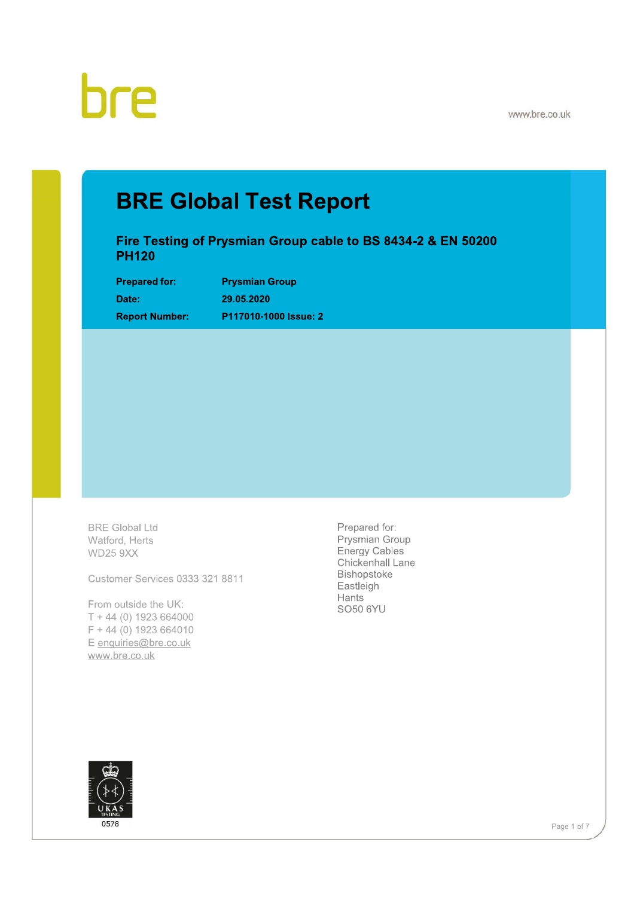

www.bre.co.uk

## **BRE Global Test Report**

Fire Testing of Prysmian Group cable to BS 8434-2 & EN 50200 **PH120** 

**Prepared for:** Date: **Report Number:**  **Prysmian Group** 29.05.2020 P117010-1000 Issue: 2

**BRE Global Ltd** Watford, Herts **WD25 9XX** 

Customer Services 0333 321 8811

From outside the UK:  $T + 44$  (0) 1923 664000  $F + 44$  (0) 1923 664010 E enquiries@bre.co.uk www.bre.co.uk

Prepared for: Prysmian Group Energy Cables Chickenhall Lane Bishopstoke Eastleigh Hants **SO50 6YU** 



Page 1 of 7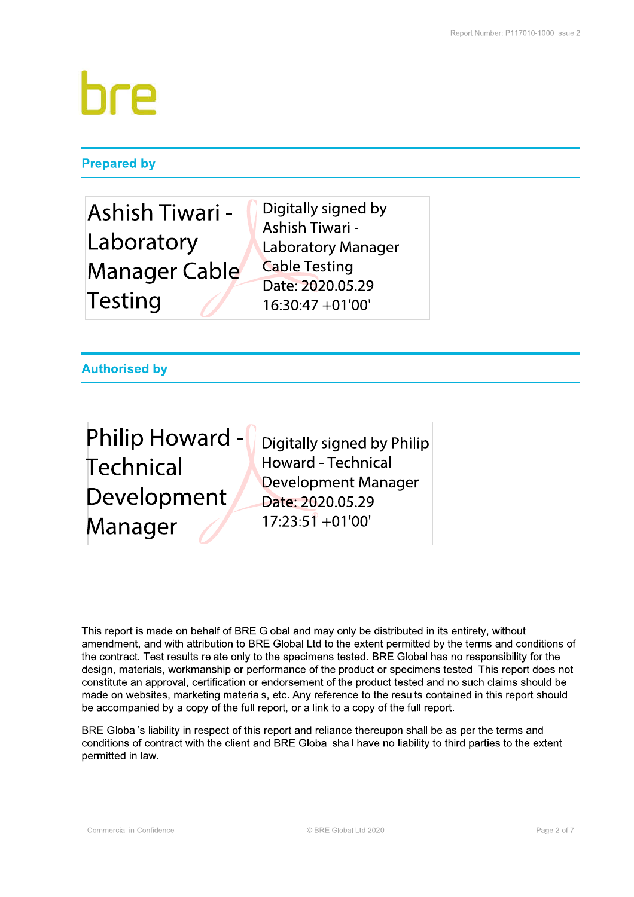### **Prepared by**

| Ashish Tiwari -      | Digitally signed by       |
|----------------------|---------------------------|
|                      | Ashish Tiwari -           |
| Laboratory           | <b>Laboratory Manager</b> |
| <b>Manager Cable</b> | <b>Cable Testing</b>      |
|                      | Date: 2020.05.29          |
| Testing              | $16:30:47 +01'00'$        |

### **Authorised by**

| <b>Philip Howard -</b> | Digitally signed by Philip              |
|------------------------|-----------------------------------------|
| Technical              | <b>Howard - Technical</b>               |
| Development            | Development Manager<br>Date: 2020.05.29 |
| Manager                | $17:23:51 + 01'00'$                     |

This report is made on behalf of BRE Global and may only be distributed in its entirety, without amendment, and with attribution to BRE Global Ltd to the extent permitted by the terms and conditions of the contract. Test results relate only to the specimens tested. BRE Global has no responsibility for the design, materials, workmanship or performance of the product or specimens tested. This report does not constitute an approval, certification or endorsement of the product tested and no such claims should be made on websites, marketing materials, etc. Any reference to the results contained in this report should be accompanied by a copy of the full report, or a link to a copy of the full report.

BRE Global's liability in respect of this report and reliance thereupon shall be as per the terms and conditions of contract with the client and BRE Global shall have no liability to third parties to the extent permitted in law.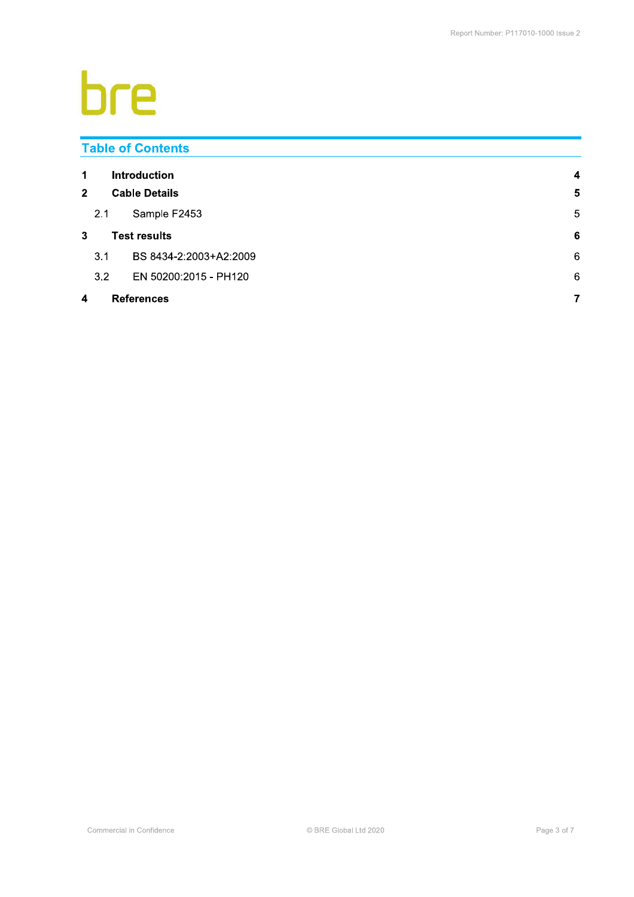# bre

|                          |                      | <b>Table of Contents</b> |                  |  |
|--------------------------|----------------------|--------------------------|------------------|--|
| 1                        |                      | <b>Introduction</b>      | $\boldsymbol{4}$ |  |
| $\mathbf{2}$             | <b>Cable Details</b> |                          |                  |  |
|                          | 2.1                  | Sample F2453             | 5                |  |
| 3<br><b>Test results</b> |                      |                          | $6\phantom{1}6$  |  |
|                          | 3.1                  | BS 8434-2:2003+A2:2009   | 6                |  |
|                          | 3.2                  | EN 50200:2015 - PH120    | 6                |  |
| 4                        |                      | <b>References</b>        | $\overline{7}$   |  |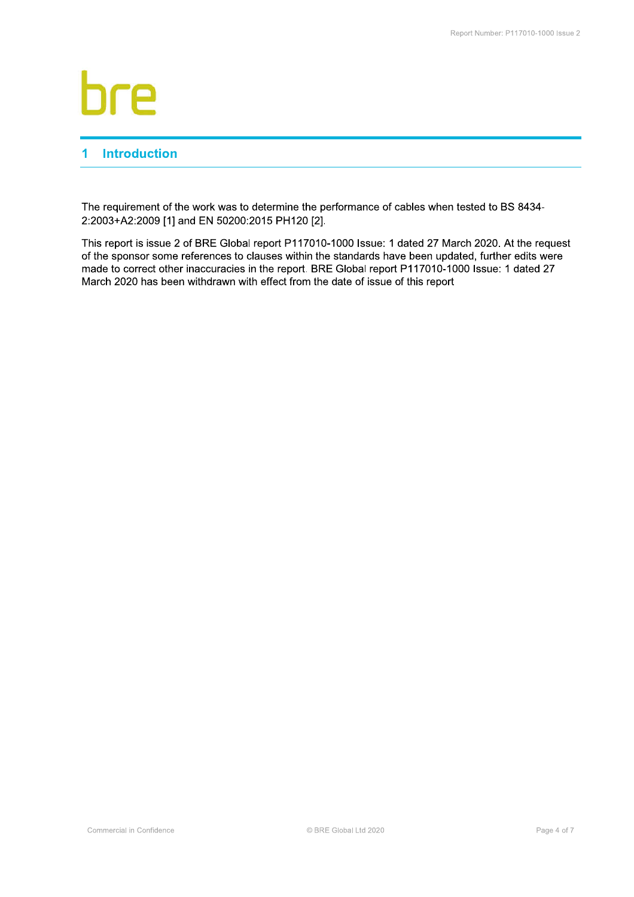## and the state of the state of the hre

### 1 Introduction

The requirement of the work was to determine the performance of cables when tested to BS 8434-2:2003+A2:2009 [1] and EN 50200:2015 PH120 [2].

This report is issue 2 of BRE Global report P117010-1000 Issue: 1 dated 27 March 2020. At the request of the sponsor some references to clauses within the standards have been updated, further edits were made to correct other inaccuracies in the report. BRE Global report P117010-1000 Issue: 1 dated 27 March 2020 has been withdrawn with effect from the date of issue of this report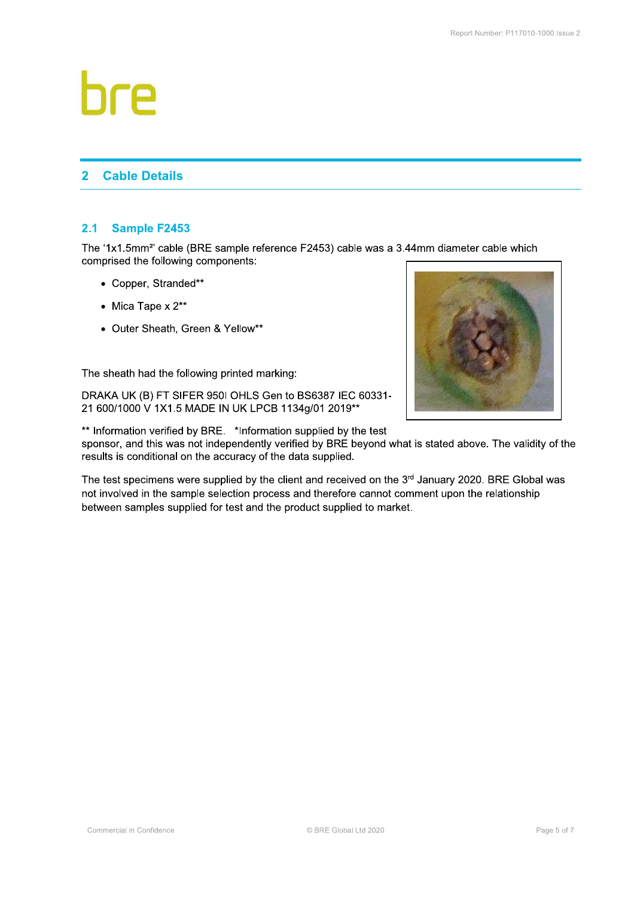# hre

#### $\overline{2}$ **Cable Details**

#### $2.1$ **Sample F2453**

The '1x1.5mm<sup>2</sup>' cable (BRE sample reference F2453) cable was a 3.44mm diameter cable which comprised the following components:

- Copper, Stranded\*\*
- Mica Tape  $x 2^{**}$
- Outer Sheath, Green & Yellow\*\*

The sheath had the following printed marking:

DRAKA UK (B) FT SIFER 950I OHLS Gen to BS6387 IEC 60331-21 600/1000 V 1X1.5 MADE IN UK LPCB 1134g/01 2019\*\*



\*\* Information verified by BRE. \*Information supplied by the test sponsor, and this was not independently verified by BRE beyond what is stated above. The validity of the results is conditional on the accuracy of the data supplied.

The test specimens were supplied by the client and received on the 3rd January 2020. BRE Global was not involved in the sample selection process and therefore cannot comment upon the relationship between samples supplied for test and the product supplied to market.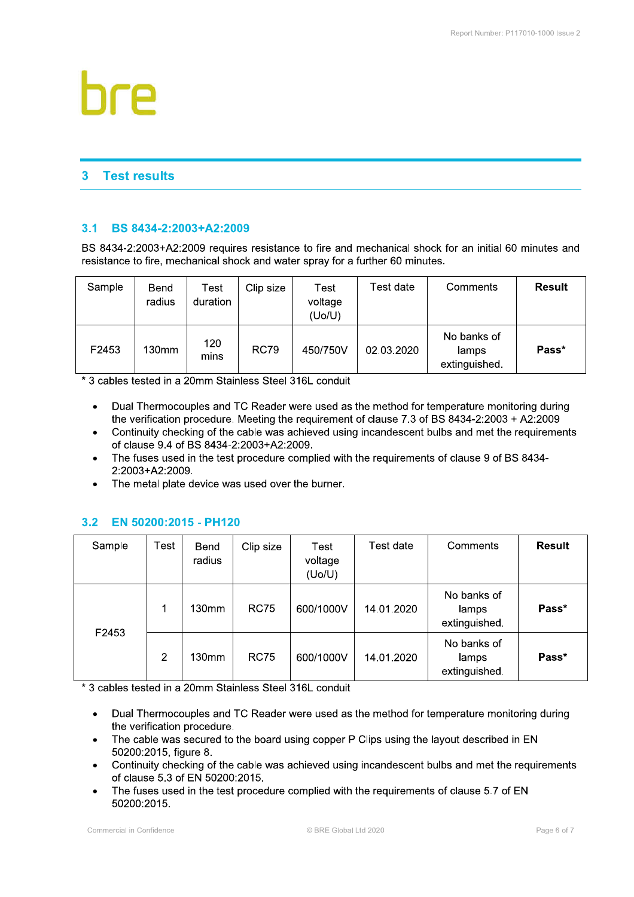#### $\overline{\mathbf{3}}$ **Test results**

#### $3.1$ BS 8434-2:2003+A2:2009

BS 8434-2:2003+A2:2009 requires resistance to fire and mechanical shock for an initial 60 minutes and resistance to fire, mechanical shock and water spray for a further 60 minutes.

| Sample | Bend<br>radius | Test<br>duration | Clip size   | Test<br>voltage<br>(Uo/U) | Test date  | Comments                              | <b>Result</b> |
|--------|----------------|------------------|-------------|---------------------------|------------|---------------------------------------|---------------|
| F2453  | 130mm          | 120<br>mins      | <b>RC79</b> | 450/750V                  | 02.03.2020 | No banks of<br>lamps<br>extinguished. | Pass*         |

\* 3 cables tested in a 20mm Stainless Steel 316L conduit

- Dual Thermocouples and TC Reader were used as the method for temperature monitoring during  $\bullet$ the verification procedure. Meeting the requirement of clause 7.3 of BS 8434-2:2003 + A2:2009
- Continuity checking of the cable was achieved using incandescent bulbs and met the requirements  $\bullet$ of clause 9.4 of BS 8434-2:2003+A2:2009.
- The fuses used in the test procedure complied with the requirements of clause 9 of BS 8434- $\bullet$ 2:2003+A2:2009.
- The metal plate device was used over the burner.  $\bullet$

#### EN 50200:2015 - PH120  $3.2$

| Sample | Test | Bend<br>radius | Clip size   | Test<br>voltage<br>(Uo/U) | Test date  | Comments                              | <b>Result</b> |
|--------|------|----------------|-------------|---------------------------|------------|---------------------------------------|---------------|
| F2453  |      | 130mm          | <b>RC75</b> | 600/1000V                 | 14.01.2020 | No banks of<br>lamps<br>extinguished. | Pass*         |
|        | 2    | 130mm          | <b>RC75</b> | 600/1000V                 | 14.01.2020 | No banks of<br>lamps<br>extinguished. | Pass*         |

\* 3 cables tested in a 20mm Stainless Steel 316L conduit

- Dual Thermocouples and TC Reader were used as the method for temperature monitoring during  $\bullet$ the verification procedure.
- The cable was secured to the board using copper P Clips using the layout described in EN  $\bullet$ 50200:2015, figure 8.
- Continuity checking of the cable was achieved using incandescent bulbs and met the requirements  $\bullet$ of clause 5.3 of EN 50200:2015.
- The fuses used in the test procedure complied with the requirements of clause 5.7 of EN  $\bullet$ 50200:2015.